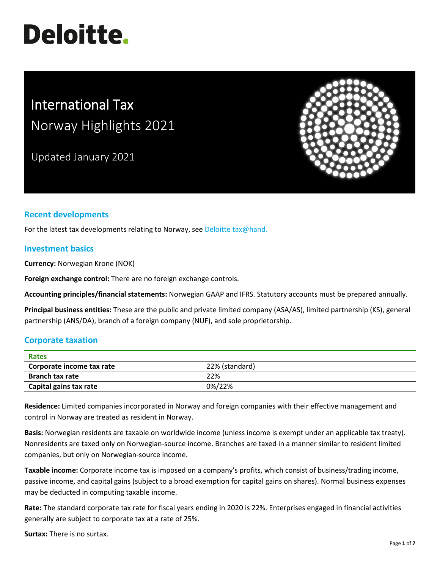# **Deloitte.**

# International Tax Norway Highlights 2021

Updated January 2021



## **Recent developments**

For the latest tax developments relating to Norway, see [Deloitte tax@hand.](https://www.taxathand.com/world-news/Norway)

#### **Investment basics**

**Currency:** Norwegian Krone (NOK)

**Foreign exchange control:** There are no foreign exchange controls.

**Accounting principles/financial statements:** Norwegian GAAP and IFRS. Statutory accounts must be prepared annually.

**Principal business entities:** These are the public and private limited company (ASA/AS), limited partnership (KS), general partnership (ANS/DA), branch of a foreign company (NUF), and sole proprietorship.

#### **Corporate taxation**

| Rates                     |                |
|---------------------------|----------------|
| Corporate income tax rate | 22% (standard) |
| Branch tax rate           | 22%            |
| Capital gains tax rate    | 0%/22%         |

**Residence:** Limited companies incorporated in Norway and foreign companies with their effective management and control in Norway are treated as resident in Norway.

**Basis:** Norwegian residents are taxable on worldwide income (unless income is exempt under an applicable tax treaty). Nonresidents are taxed only on Norwegian-source income. Branches are taxed in a manner similar to resident limited companies, but only on Norwegian-source income.

**Taxable income:** Corporate income tax is imposed on a company's profits, which consist of business/trading income, passive income, and capital gains (subject to a broad exemption for capital gains on shares). Normal business expenses may be deducted in computing taxable income.

**Rate:** The standard corporate tax rate for fiscal years ending in 2020 is 22%. Enterprises engaged in financial activities generally are subject to corporate tax at a rate of 25%.

**Surtax:** There is no surtax.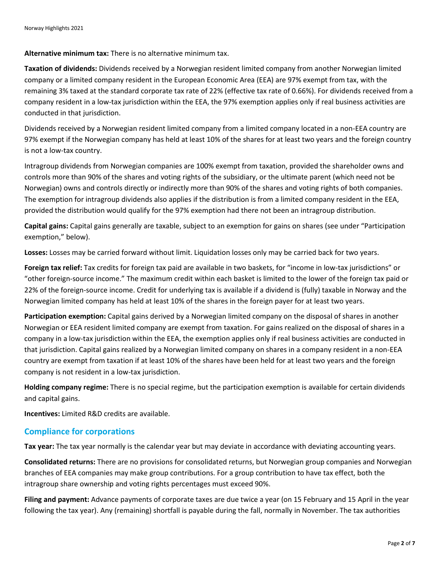#### **Alternative minimum tax:** There is no alternative minimum tax.

**Taxation of dividends:** Dividends received by a Norwegian resident limited company from another Norwegian limited company or a limited company resident in the European Economic Area (EEA) are 97% exempt from tax, with the remaining 3% taxed at the standard corporate tax rate of 22% (effective tax rate of 0.66%). For dividends received from a company resident in a low-tax jurisdiction within the EEA, the 97% exemption applies only if real business activities are conducted in that jurisdiction.

Dividends received by a Norwegian resident limited company from a limited company located in a non-EEA country are 97% exempt if the Norwegian company has held at least 10% of the shares for at least two years and the foreign country is not a low-tax country.

Intragroup dividends from Norwegian companies are 100% exempt from taxation, provided the shareholder owns and controls more than 90% of the shares and voting rights of the subsidiary, or the ultimate parent (which need not be Norwegian) owns and controls directly or indirectly more than 90% of the shares and voting rights of both companies. The exemption for intragroup dividends also applies if the distribution is from a limited company resident in the EEA, provided the distribution would qualify for the 97% exemption had there not been an intragroup distribution.

**Capital gains:** Capital gains generally are taxable, subject to an exemption for gains on shares (see under "Participation exemption," below).

**Losses:** Losses may be carried forward without limit. Liquidation losses only may be carried back for two years.

**Foreign tax relief:** Tax credits for foreign tax paid are available in two baskets, for "income in low-tax jurisdictions" or "other foreign-source income." The maximum credit within each basket is limited to the lower of the foreign tax paid or 22% of the foreign-source income. Credit for underlying tax is available if a dividend is (fully) taxable in Norway and the Norwegian limited company has held at least 10% of the shares in the foreign payer for at least two years.

**Participation exemption:** Capital gains derived by a Norwegian limited company on the disposal of shares in another Norwegian or EEA resident limited company are exempt from taxation. For gains realized on the disposal of shares in a company in a low-tax jurisdiction within the EEA, the exemption applies only if real business activities are conducted in that jurisdiction. Capital gains realized by a Norwegian limited company on shares in a company resident in a non-EEA country are exempt from taxation if at least 10% of the shares have been held for at least two years and the foreign company is not resident in a low-tax jurisdiction.

**Holding company regime:** There is no special regime, but the participation exemption is available for certain dividends and capital gains.

**Incentives:** Limited R&D credits are available.

#### **Compliance for corporations**

**Tax year:** The tax year normally is the calendar year but may deviate in accordance with deviating accounting years.

**Consolidated returns:** There are no provisions for consolidated returns, but Norwegian group companies and Norwegian branches of EEA companies may make group contributions. For a group contribution to have tax effect, both the intragroup share ownership and voting rights percentages must exceed 90%.

**Filing and payment:** Advance payments of corporate taxes are due twice a year (on 15 February and 15 April in the year following the tax year). Any (remaining) shortfall is payable during the fall, normally in November. The tax authorities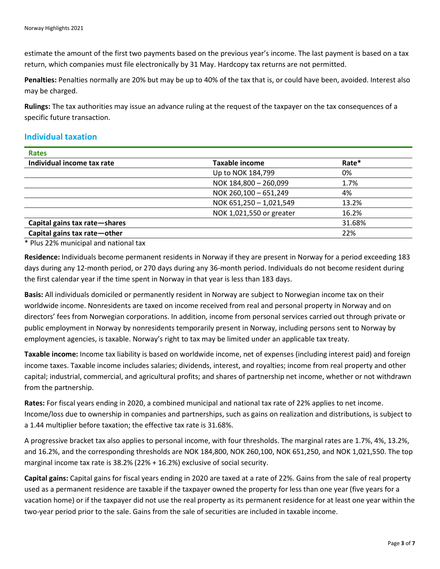estimate the amount of the first two payments based on the previous year's income. The last payment is based on a tax return, which companies must file electronically by 31 May. Hardcopy tax returns are not permitted.

**Penalties:** Penalties normally are 20% but may be up to 40% of the tax that is, or could have been, avoided. Interest also may be charged.

**Rulings:** The tax authorities may issue an advance ruling at the request of the taxpayer on the tax consequences of a specific future transaction.

#### **Individual taxation**

| <b>Rates</b>                  |                          |        |
|-------------------------------|--------------------------|--------|
| Individual income tax rate    | <b>Taxable income</b>    | Rate*  |
|                               | Up to NOK 184,799        | 0%     |
|                               | NOK 184,800 - 260,099    | 1.7%   |
|                               | NOK 260,100 - 651,249    | 4%     |
|                               | NOK 651,250 - 1,021,549  | 13.2%  |
|                               | NOK 1,021,550 or greater | 16.2%  |
| Capital gains tax rate-shares |                          | 31.68% |
| Capital gains tax rate-other  |                          | 22%    |

\* Plus 22% municipal and national tax

**Residence:** Individuals become permanent residents in Norway if they are present in Norway for a period exceeding 183 days during any 12-month period, or 270 days during any 36-month period. Individuals do not become resident during the first calendar year if the time spent in Norway in that year is less than 183 days.

**Basis:** All individuals domiciled or permanently resident in Norway are subject to Norwegian income tax on their worldwide income. Nonresidents are taxed on income received from real and personal property in Norway and on directors' fees from Norwegian corporations. In addition, income from personal services carried out through private or public employment in Norway by nonresidents temporarily present in Norway, including persons sent to Norway by employment agencies, is taxable. Norway's right to tax may be limited under an applicable tax treaty.

**Taxable income:** Income tax liability is based on worldwide income, net of expenses (including interest paid) and foreign income taxes. Taxable income includes salaries; dividends, interest, and royalties; income from real property and other capital; industrial, commercial, and agricultural profits; and shares of partnership net income, whether or not withdrawn from the partnership.

**Rates:** For fiscal years ending in 2020, a combined municipal and national tax rate of 22% applies to net income. Income/loss due to ownership in companies and partnerships, such as gains on realization and distributions, is subject to a 1.44 multiplier before taxation; the effective tax rate is 31.68%.

A progressive bracket tax also applies to personal income, with four thresholds. The marginal rates are 1.7%, 4%, 13.2%, and 16.2%, and the corresponding thresholds are NOK 184,800, NOK 260,100, NOK 651,250, and NOK 1,021,550. The top marginal income tax rate is 38.2% (22% + 16.2%) exclusive of social security.

**Capital gains:** Capital gains for fiscal years ending in 2020 are taxed at a rate of 22%. Gains from the sale of real property used as a permanent residence are taxable if the taxpayer owned the property for less than one year (five years for a vacation home) or if the taxpayer did not use the real property as its permanent residence for at least one year within the two-year period prior to the sale. Gains from the sale of securities are included in taxable income.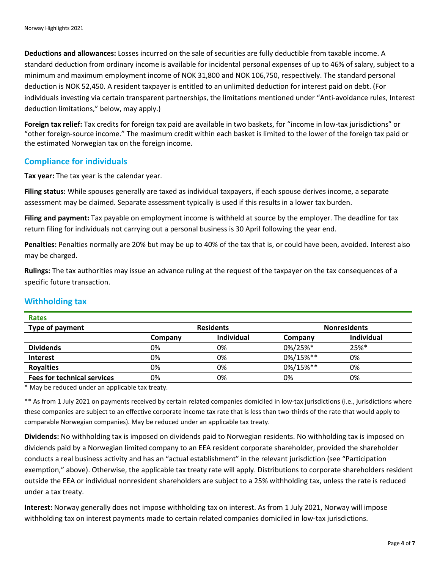**Deductions and allowances:** Losses incurred on the sale of securities are fully deductible from taxable income. A standard deduction from ordinary income is available for incidental personal expenses of up to 46% of salary, subject to a minimum and maximum employment income of NOK 31,800 and NOK 106,750, respectively. The standard personal deduction is NOK 52,450. A resident taxpayer is entitled to an unlimited deduction for interest paid on debt. (For individuals investing via certain transparent partnerships, the limitations mentioned under "Anti-avoidance rules, Interest deduction limitations," below, may apply.)

**Foreign tax relief:** Tax credits for foreign tax paid are available in two baskets, for "income in low-tax jurisdictions" or "other foreign-source income." The maximum credit within each basket is limited to the lower of the foreign tax paid or the estimated Norwegian tax on the foreign income.

#### **Compliance for individuals**

**Tax year:** The tax year is the calendar year.

**Filing status:** While spouses generally are taxed as individual taxpayers, if each spouse derives income, a separate assessment may be claimed. Separate assessment typically is used if this results in a lower tax burden.

**Filing and payment:** Tax payable on employment income is withheld at source by the employer. The deadline for tax return filing for individuals not carrying out a personal business is 30 April following the year end.

**Penalties:** Penalties normally are 20% but may be up to 40% of the tax that is, or could have been, avoided. Interest also may be charged.

**Rulings:** The tax authorities may issue an advance ruling at the request of the taxpayer on the tax consequences of a specific future transaction.

| <b>Rates</b>                       |                  |                     |          |            |
|------------------------------------|------------------|---------------------|----------|------------|
| Type of payment                    | <b>Residents</b> | <b>Nonresidents</b> |          |            |
|                                    | Company          | Individual          | Company  | Individual |
| <b>Dividends</b>                   | 0%               | 0%                  | 0%/25%*  | 25%*       |
| <b>Interest</b>                    | 0%               | 0%                  | 0%/15%** | 0%         |
| <b>Royalties</b>                   | 0%               | 0%                  | 0%/15%** | 0%         |
| <b>Fees for technical services</b> | 0%               | 0%                  | 0%       | 0%         |

### **Withholding tax**

\* May be reduced under an applicable tax treaty.

\*\* As from 1 July 2021 on payments received by certain related companies domiciled in low-tax jurisdictions (i.e., jurisdictions where these companies are subject to an effective corporate income tax rate that is less than two-thirds of the rate that would apply to comparable Norwegian companies). May be reduced under an applicable tax treaty.

**Dividends:** No withholding tax is imposed on dividends paid to Norwegian residents. No withholding tax is imposed on dividends paid by a Norwegian limited company to an EEA resident corporate shareholder, provided the shareholder conducts a real business activity and has an "actual establishment" in the relevant jurisdiction (see "Participation exemption," above). Otherwise, the applicable tax treaty rate will apply. Distributions to corporate shareholders resident outside the EEA or individual nonresident shareholders are subject to a 25% withholding tax, unless the rate is reduced under a tax treaty.

**Interest:** Norway generally does not impose withholding tax on interest. As from 1 July 2021, Norway will impose withholding tax on interest payments made to certain related companies domiciled in low-tax jurisdictions.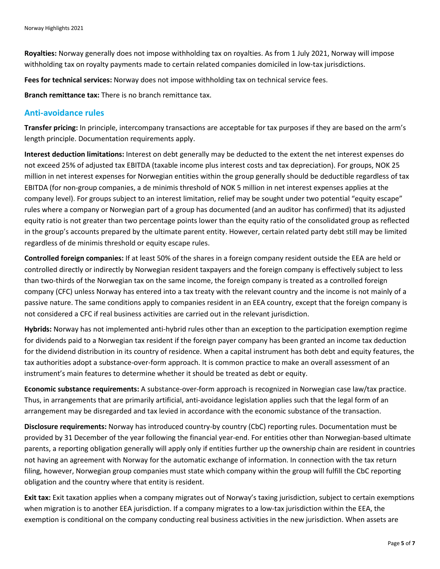**Royalties:** Norway generally does not impose withholding tax on royalties. As from 1 July 2021, Norway will impose withholding tax on royalty payments made to certain related companies domiciled in low-tax jurisdictions.

**Fees for technical services:** Norway does not impose withholding tax on technical service fees.

**Branch remittance tax:** There is no branch remittance tax.

#### **Anti-avoidance rules**

**Transfer pricing:** In principle, intercompany transactions are acceptable for tax purposes if they are based on the arm's length principle. Documentation requirements apply.

**Interest deduction limitations:** Interest on debt generally may be deducted to the extent the net interest expenses do not exceed 25% of adjusted tax EBITDA (taxable income plus interest costs and tax depreciation). For groups, NOK 25 million in net interest expenses for Norwegian entities within the group generally should be deductible regardless of tax EBITDA (for non-group companies, a de minimis threshold of NOK 5 million in net interest expenses applies at the company level). For groups subject to an interest limitation, relief may be sought under two potential "equity escape" rules where a company or Norwegian part of a group has documented (and an auditor has confirmed) that its adjusted equity ratio is not greater than two percentage points lower than the equity ratio of the consolidated group as reflected in the group's accounts prepared by the ultimate parent entity. However, certain related party debt still may be limited regardless of de minimis threshold or equity escape rules.

**Controlled foreign companies:** If at least 50% of the shares in a foreign company resident outside the EEA are held or controlled directly or indirectly by Norwegian resident taxpayers and the foreign company is effectively subject to less than two-thirds of the Norwegian tax on the same income, the foreign company is treated as a controlled foreign company (CFC) unless Norway has entered into a tax treaty with the relevant country and the income is not mainly of a passive nature. The same conditions apply to companies resident in an EEA country, except that the foreign company is not considered a CFC if real business activities are carried out in the relevant jurisdiction.

**Hybrids:** Norway has not implemented anti-hybrid rules other than an exception to the participation exemption regime for dividends paid to a Norwegian tax resident if the foreign payer company has been granted an income tax deduction for the dividend distribution in its country of residence. When a capital instrument has both debt and equity features, the tax authorities adopt a substance-over-form approach. It is common practice to make an overall assessment of an instrument's main features to determine whether it should be treated as debt or equity.

**Economic substance requirements:** A substance-over-form approach is recognized in Norwegian case law/tax practice. Thus, in arrangements that are primarily artificial, anti-avoidance legislation applies such that the legal form of an arrangement may be disregarded and tax levied in accordance with the economic substance of the transaction.

**Disclosure requirements:** Norway has introduced country-by country (CbC) reporting rules. Documentation must be provided by 31 December of the year following the financial year-end. For entities other than Norwegian-based ultimate parents, a reporting obligation generally will apply only if entities further up the ownership chain are resident in countries not having an agreement with Norway for the automatic exchange of information. In connection with the tax return filing, however, Norwegian group companies must state which company within the group will fulfill the CbC reporting obligation and the country where that entity is resident.

**Exit tax:** Exit taxation applies when a company migrates out of Norway's taxing jurisdiction, subject to certain exemptions when migration is to another EEA jurisdiction. If a company migrates to a low-tax jurisdiction within the EEA, the exemption is conditional on the company conducting real business activities in the new jurisdiction. When assets are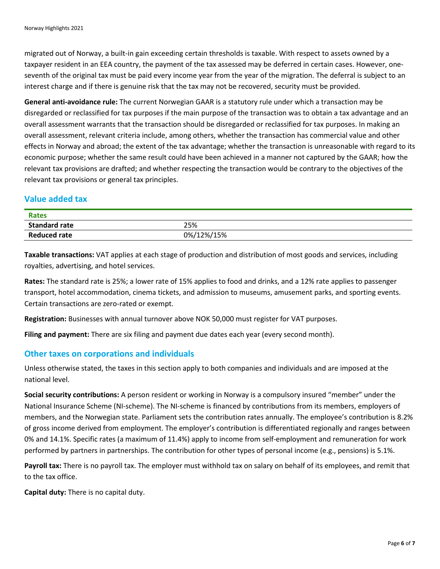migrated out of Norway, a built-in gain exceeding certain thresholds is taxable. With respect to assets owned by a taxpayer resident in an EEA country, the payment of the tax assessed may be deferred in certain cases. However, oneseventh of the original tax must be paid every income year from the year of the migration. The deferral is subject to an interest charge and if there is genuine risk that the tax may not be recovered, security must be provided.

**General anti-avoidance rule:** The current Norwegian GAAR is a statutory rule under which a transaction may be disregarded or reclassified for tax purposes if the main purpose of the transaction was to obtain a tax advantage and an overall assessment warrants that the transaction should be disregarded or reclassified for tax purposes. In making an overall assessment, relevant criteria include, among others, whether the transaction has commercial value and other effects in Norway and abroad; the extent of the tax advantage; whether the transaction is unreasonable with regard to its economic purpose; whether the same result could have been achieved in a manner not captured by the GAAR; how the relevant tax provisions are drafted; and whether respecting the transaction would be contrary to the objectives of the relevant tax provisions or general tax principles.

#### **Value added tax**

| <b>Rates</b>         |            |
|----------------------|------------|
| <b>Standard rate</b> | 25%        |
| <b>Reduced rate</b>  | 0%/12%/15% |

**Taxable transactions:** VAT applies at each stage of production and distribution of most goods and services, including royalties, advertising, and hotel services.

**Rates:** The standard rate is 25%; a lower rate of 15% applies to food and drinks, and a 12% rate applies to passenger transport, hotel accommodation, cinema tickets, and admission to museums, amusement parks, and sporting events. Certain transactions are zero-rated or exempt.

**Registration:** Businesses with annual turnover above NOK 50,000 must register for VAT purposes.

**Filing and payment:** There are six filing and payment due dates each year (every second month).

#### **Other taxes on corporations and individuals**

Unless otherwise stated, the taxes in this section apply to both companies and individuals and are imposed at the national level.

**Social security contributions:** A person resident or working in Norway is a compulsory insured "member" under the National Insurance Scheme (NI-scheme). The NI-scheme is financed by contributions from its members, employers of members, and the Norwegian state. Parliament sets the contribution rates annually. The employee's contribution is 8.2% of gross income derived from employment. The employer's contribution is differentiated regionally and ranges between 0% and 14.1%. Specific rates (a maximum of 11.4%) apply to income from self-employment and remuneration for work performed by partners in partnerships. The contribution for other types of personal income (e.g., pensions) is 5.1%.

**Payroll tax:** There is no payroll tax. The employer must withhold tax on salary on behalf of its employees, and remit that to the tax office.

**Capital duty:** There is no capital duty.